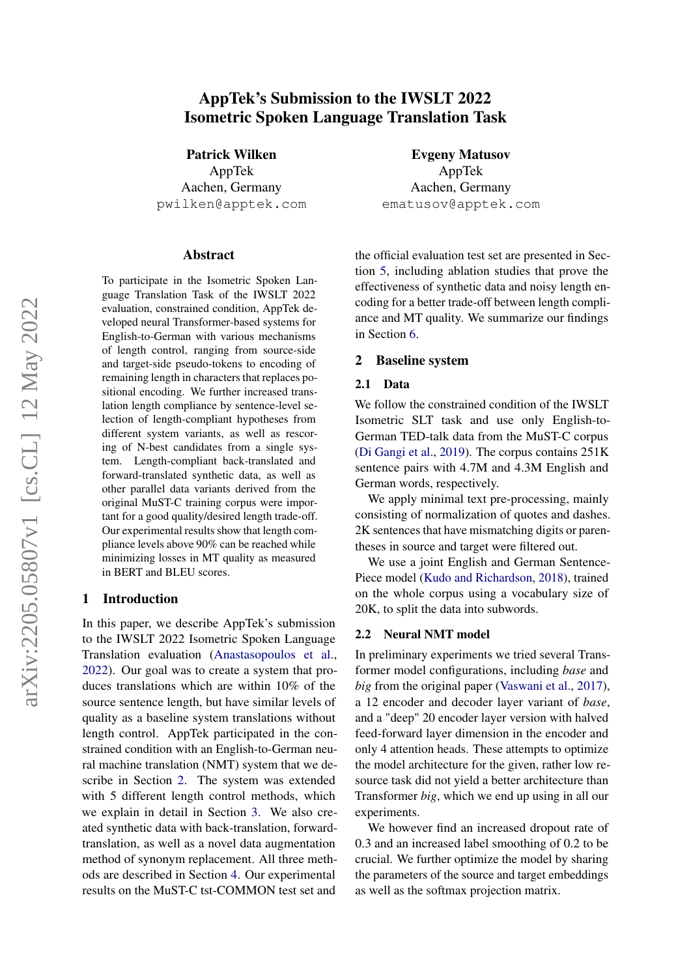# arXiv:2205.05807v1 [cs.CL] 12 May 2022 arXiv:2205.05807v1 [cs.CL] 12 May 2022

# AppTek's Submission to the IWSLT 2022 Isometric Spoken Language Translation Task

Patrick Wilken

AppTek Aachen, Germany pwilken@apptek.com

#### Abstract

To participate in the Isometric Spoken Language Translation Task of the IWSLT 2022 evaluation, constrained condition, AppTek developed neural Transformer-based systems for English-to-German with various mechanisms of length control, ranging from source-side and target-side pseudo-tokens to encoding of remaining length in characters that replaces positional encoding. We further increased translation length compliance by sentence-level selection of length-compliant hypotheses from different system variants, as well as rescoring of N-best candidates from a single system. Length-compliant back-translated and forward-translated synthetic data, as well as other parallel data variants derived from the original MuST-C training corpus were important for a good quality/desired length trade-off. Our experimental results show that length compliance levels above 90% can be reached while minimizing losses in MT quality as measured in BERT and BLEU scores.

# 1 Introduction

In this paper, we describe AppTek's submission to the IWSLT 2022 Isometric Spoken Language Translation evaluation [\(Anastasopoulos et al.,](#page-7-0) [2022\)](#page-7-0). Our goal was to create a system that produces translations which are within 10% of the source sentence length, but have similar levels of quality as a baseline system translations without length control. AppTek participated in the constrained condition with an English-to-German neural machine translation (NMT) system that we describe in Section [2.](#page-0-0) The system was extended with 5 different length control methods, which we explain in detail in Section [3.](#page-1-0) We also created synthetic data with back-translation, forwardtranslation, as well as a novel data augmentation method of synonym replacement. All three methods are described in Section [4.](#page-3-0) Our experimental results on the MuST-C tst-COMMON test set and

Evgeny Matusov AppTek Aachen, Germany ematusov@apptek.com

the official evaluation test set are presented in Section [5,](#page-4-0) including ablation studies that prove the effectiveness of synthetic data and noisy length encoding for a better trade-off between length compliance and MT quality. We summarize our findings in Section [6.](#page-7-1)

#### <span id="page-0-0"></span>2 Baseline system

#### 2.1 Data

We follow the constrained condition of the IWSLT Isometric SLT task and use only English-to-German TED-talk data from the MuST-C corpus [\(Di Gangi et al.,](#page-7-2) [2019\)](#page-7-2). The corpus contains 251K sentence pairs with 4.7M and 4.3M English and German words, respectively.

We apply minimal text pre-processing, mainly consisting of normalization of quotes and dashes. 2K sentences that have mismatching digits or parentheses in source and target were filtered out.

We use a joint English and German Sentence-Piece model [\(Kudo and Richardson,](#page-8-0) [2018\)](#page-8-0), trained on the whole corpus using a vocabulary size of 20K, to split the data into subwords.

#### 2.2 Neural NMT model

In preliminary experiments we tried several Transformer model configurations, including *base* and *big* from the original paper [\(Vaswani et al.,](#page-8-1) [2017\)](#page-8-1), a 12 encoder and decoder layer variant of *base*, and a "deep" 20 encoder layer version with halved feed-forward layer dimension in the encoder and only 4 attention heads. These attempts to optimize the model architecture for the given, rather low resource task did not yield a better architecture than Transformer *big*, which we end up using in all our experiments.

We however find an increased dropout rate of 0.3 and an increased label smoothing of 0.2 to be crucial. We further optimize the model by sharing the parameters of the source and target embeddings as well as the softmax projection matrix.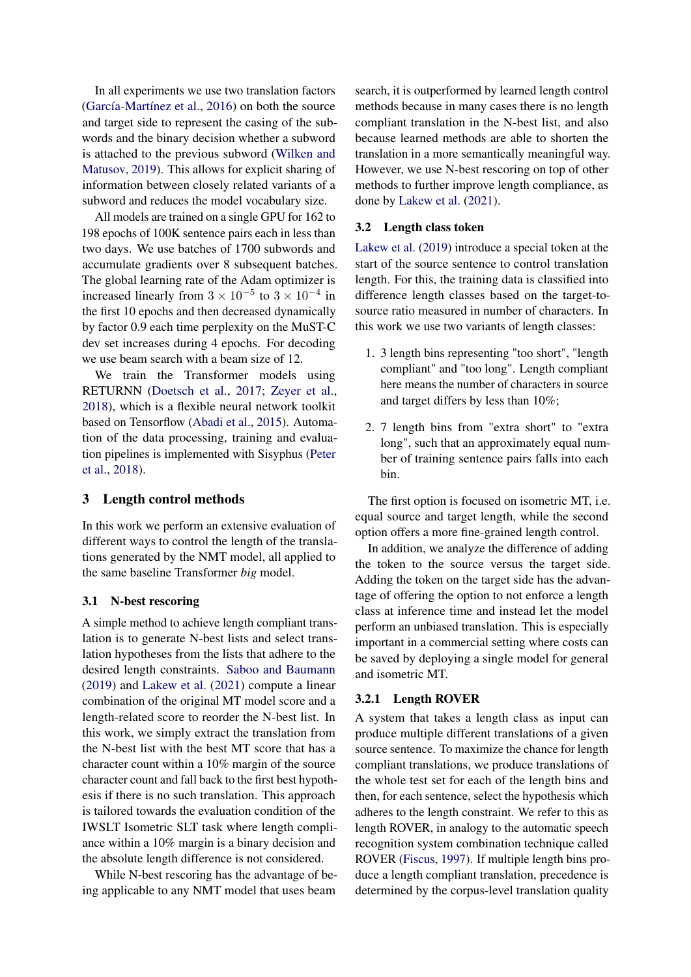In all experiments we use two translation factors [\(García-Martínez et al.,](#page-8-2) [2016\)](#page-8-2) on both the source and target side to represent the casing of the subwords and the binary decision whether a subword is attached to the previous subword [\(Wilken and](#page-9-0) [Matusov,](#page-9-0) [2019\)](#page-9-0). This allows for explicit sharing of information between closely related variants of a subword and reduces the model vocabulary size.

All models are trained on a single GPU for 162 to 198 epochs of 100K sentence pairs each in less than two days. We use batches of 1700 subwords and accumulate gradients over 8 subsequent batches. The global learning rate of the Adam optimizer is increased linearly from  $3 \times 10^{-5}$  to  $3 \times 10^{-4}$  in the first 10 epochs and then decreased dynamically by factor 0.9 each time perplexity on the MuST-C dev set increases during 4 epochs. For decoding we use beam search with a beam size of 12.

We train the Transformer models using RETURNN [\(Doetsch et al.,](#page-8-3) [2017;](#page-8-3) [Zeyer et al.,](#page-9-1) [2018\)](#page-9-1), which is a flexible neural network toolkit based on Tensorflow [\(Abadi et al.,](#page-7-3) [2015\)](#page-7-3). Automation of the data processing, training and evaluation pipelines is implemented with Sisyphus [\(Peter](#page-8-4) [et al.,](#page-8-4) [2018\)](#page-8-4).

#### <span id="page-1-0"></span>3 Length control methods

In this work we perform an extensive evaluation of different ways to control the length of the translations generated by the NMT model, all applied to the same baseline Transformer *big* model.

#### 3.1 N-best rescoring

A simple method to achieve length compliant translation is to generate N-best lists and select translation hypotheses from the lists that adhere to the desired length constraints. [Saboo and Baumann](#page-8-5) [\(2019\)](#page-8-5) and [Lakew et al.](#page-8-6) [\(2021\)](#page-8-6) compute a linear combination of the original MT model score and a length-related score to reorder the N-best list. In this work, we simply extract the translation from the N-best list with the best MT score that has a character count within a 10% margin of the source character count and fall back to the first best hypothesis if there is no such translation. This approach is tailored towards the evaluation condition of the IWSLT Isometric SLT task where length compliance within a 10% margin is a binary decision and the absolute length difference is not considered.

While N-best rescoring has the advantage of being applicable to any NMT model that uses beam

search, it is outperformed by learned length control methods because in many cases there is no length compliant translation in the N-best list, and also because learned methods are able to shorten the translation in a more semantically meaningful way. However, we use N-best rescoring on top of other methods to further improve length compliance, as done by [Lakew et al.](#page-8-6) [\(2021\)](#page-8-6).

#### 3.2 Length class token

[Lakew et al.](#page-8-7) [\(2019\)](#page-8-7) introduce a special token at the start of the source sentence to control translation length. For this, the training data is classified into difference length classes based on the target-tosource ratio measured in number of characters. In this work we use two variants of length classes:

- 1. 3 length bins representing "too short", "length compliant" and "too long". Length compliant here means the number of characters in source and target differs by less than 10%;
- 2. 7 length bins from "extra short" to "extra long", such that an approximately equal number of training sentence pairs falls into each bin.

The first option is focused on isometric MT, i.e. equal source and target length, while the second option offers a more fine-grained length control.

In addition, we analyze the difference of adding the token to the source versus the target side. Adding the token on the target side has the advantage of offering the option to not enforce a length class at inference time and instead let the model perform an unbiased translation. This is especially important in a commercial setting where costs can be saved by deploying a single model for general and isometric MT.

#### <span id="page-1-1"></span>3.2.1 Length ROVER

A system that takes a length class as input can produce multiple different translations of a given source sentence. To maximize the chance for length compliant translations, we produce translations of the whole test set for each of the length bins and then, for each sentence, select the hypothesis which adheres to the length constraint. We refer to this as length ROVER, in analogy to the automatic speech recognition system combination technique called ROVER [\(Fiscus,](#page-8-8) [1997\)](#page-8-8). If multiple length bins produce a length compliant translation, precedence is determined by the corpus-level translation quality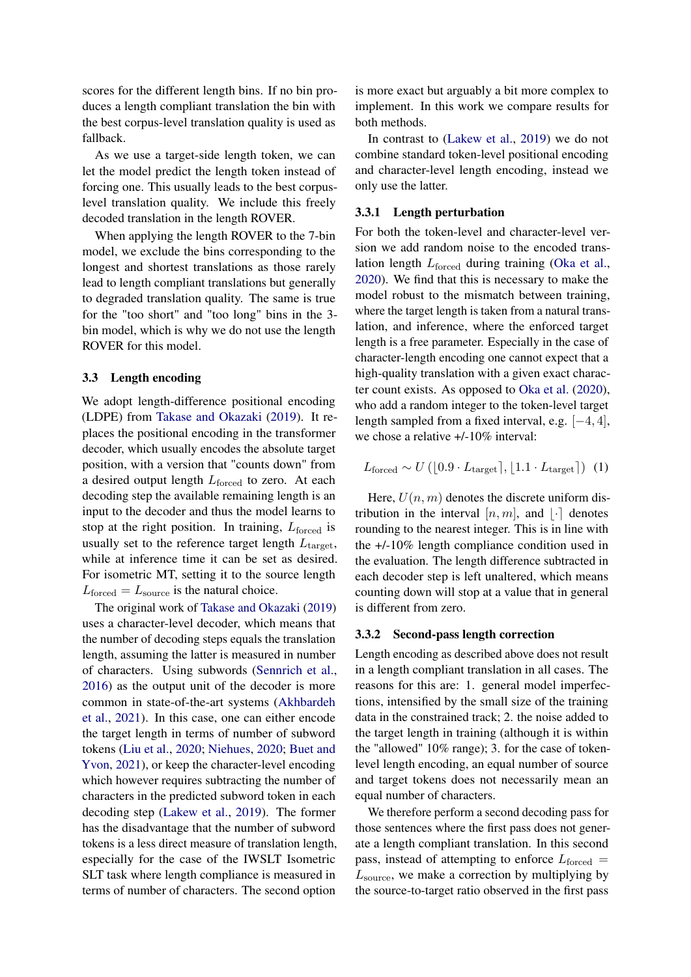scores for the different length bins. If no bin produces a length compliant translation the bin with the best corpus-level translation quality is used as fallback.

As we use a target-side length token, we can let the model predict the length token instead of forcing one. This usually leads to the best corpuslevel translation quality. We include this freely decoded translation in the length ROVER.

When applying the length ROVER to the 7-bin model, we exclude the bins corresponding to the longest and shortest translations as those rarely lead to length compliant translations but generally to degraded translation quality. The same is true for the "too short" and "too long" bins in the 3 bin model, which is why we do not use the length ROVER for this model.

# <span id="page-2-0"></span>3.3 Length encoding

We adopt length-difference positional encoding (LDPE) from [Takase and Okazaki](#page-8-9) [\(2019\)](#page-8-9). It replaces the positional encoding in the transformer decoder, which usually encodes the absolute target position, with a version that "counts down" from a desired output length  $L_{\text{forced}}$  to zero. At each decoding step the available remaining length is an input to the decoder and thus the model learns to stop at the right position. In training,  $L_{\rm forced}$  is usually set to the reference target length  $L_{\text{target}}$ , while at inference time it can be set as desired. For isometric MT, setting it to the source length  $L_{\text{forced}} = L_{\text{source}}$  is the natural choice.

The original work of [Takase and Okazaki](#page-8-9) [\(2019\)](#page-8-9) uses a character-level decoder, which means that the number of decoding steps equals the translation length, assuming the latter is measured in number of characters. Using subwords [\(Sennrich et al.,](#page-8-10) [2016\)](#page-8-10) as the output unit of the decoder is more common in state-of-the-art systems [\(Akhbardeh](#page-7-4) [et al.,](#page-7-4) [2021\)](#page-7-4). In this case, one can either encode the target length in terms of number of subword tokens [\(Liu et al.,](#page-8-11) [2020;](#page-8-11) [Niehues,](#page-8-12) [2020;](#page-8-12) [Buet and](#page-7-5) [Yvon,](#page-7-5) [2021\)](#page-7-5), or keep the character-level encoding which however requires subtracting the number of characters in the predicted subword token in each decoding step [\(Lakew et al.,](#page-8-7) [2019\)](#page-8-7). The former has the disadvantage that the number of subword tokens is a less direct measure of translation length, especially for the case of the IWSLT Isometric SLT task where length compliance is measured in terms of number of characters. The second option is more exact but arguably a bit more complex to implement. In this work we compare results for both methods.

In contrast to [\(Lakew et al.,](#page-8-7) [2019\)](#page-8-7) we do not combine standard token-level positional encoding and character-level length encoding, instead we only use the latter.

## <span id="page-2-1"></span>3.3.1 Length perturbation

For both the token-level and character-level version we add random noise to the encoded translation length  $L_{\text{forced}}$  during training [\(Oka et al.,](#page-8-13) [2020\)](#page-8-13). We find that this is necessary to make the model robust to the mismatch between training, where the target length is taken from a natural translation, and inference, where the enforced target length is a free parameter. Especially in the case of character-length encoding one cannot expect that a high-quality translation with a given exact character count exists. As opposed to [Oka et al.](#page-8-13) [\(2020\)](#page-8-13), who add a random integer to the token-level target length sampled from a fixed interval, e.g. [−4, 4], we chose a relative +/-10% interval:

$$
L_{\text{forced}} \sim U\left([0.9 \cdot L_{\text{target}}], [1.1 \cdot L_{\text{target}}]\right) (1)
$$

Here,  $U(n, m)$  denotes the discrete uniform distribution in the interval  $[n, m]$ , and  $\lvert \cdot \rvert$  denotes rounding to the nearest integer. This is in line with the +/-10% length compliance condition used in the evaluation. The length difference subtracted in each decoder step is left unaltered, which means counting down will stop at a value that in general is different from zero.

#### 3.3.2 Second-pass length correction

Length encoding as described above does not result in a length compliant translation in all cases. The reasons for this are: 1. general model imperfections, intensified by the small size of the training data in the constrained track; 2. the noise added to the target length in training (although it is within the "allowed" 10% range); 3. for the case of tokenlevel length encoding, an equal number of source and target tokens does not necessarily mean an equal number of characters.

We therefore perform a second decoding pass for those sentences where the first pass does not generate a length compliant translation. In this second pass, instead of attempting to enforce  $L_{\text{forced}} =$  $L_{\text{source}}$ , we make a correction by multiplying by the source-to-target ratio observed in the first pass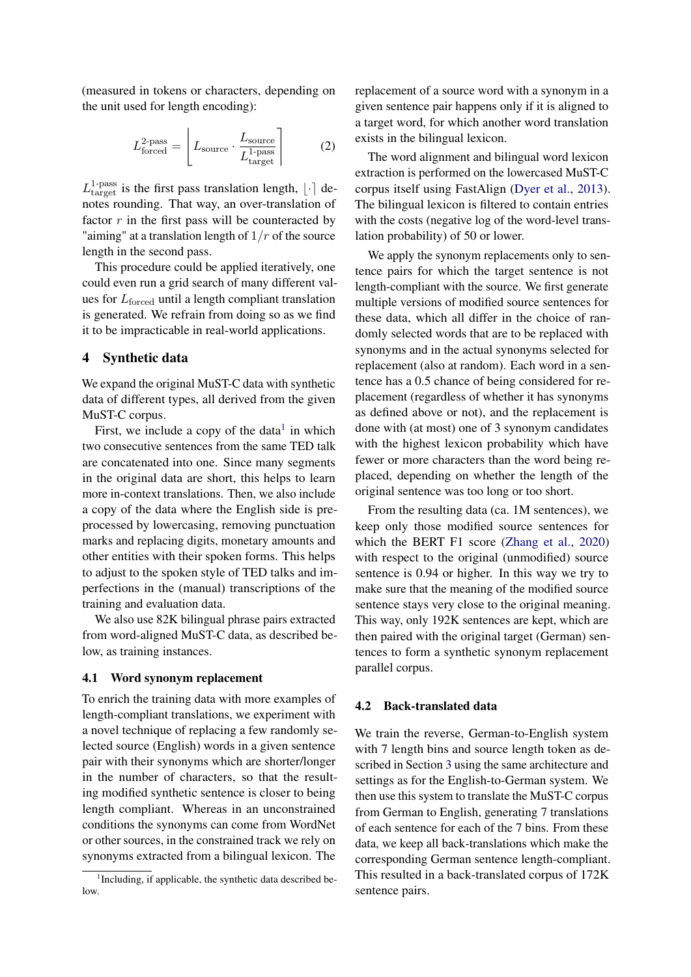(measured in tokens or characters, depending on the unit used for length encoding):

$$
L_{\text{forced}}^{2\text{-pass}} = \left[ L_{\text{source}} \cdot \frac{L_{\text{source}}}{L_{\text{target}}^{1\text{-pass}}} \right] \tag{2}
$$

 $L_{\text{target}}^{1-\text{pass}}$  is the first pass translation length,  $\lfloor \cdot \rceil$  denotes rounding. That way, an over-translation of factor  $r$  in the first pass will be counteracted by "aiming" at a translation length of  $1/r$  of the source length in the second pass.

This procedure could be applied iteratively, one could even run a grid search of many different values for  $L_{\text{forced}}$  until a length compliant translation is generated. We refrain from doing so as we find it to be impracticable in real-world applications.

# <span id="page-3-0"></span>4 Synthetic data

We expand the original MuST-C data with synthetic data of different types, all derived from the given MuST-C corpus.

First, we include a copy of the data $<sup>1</sup>$  $<sup>1</sup>$  $<sup>1</sup>$  in which</sup> two consecutive sentences from the same TED talk are concatenated into one. Since many segments in the original data are short, this helps to learn more in-context translations. Then, we also include a copy of the data where the English side is preprocessed by lowercasing, removing punctuation marks and replacing digits, monetary amounts and other entities with their spoken forms. This helps to adjust to the spoken style of TED talks and imperfections in the (manual) transcriptions of the training and evaluation data.

We also use 82K bilingual phrase pairs extracted from word-aligned MuST-C data, as described below, as training instances.

# <span id="page-3-2"></span>4.1 Word synonym replacement

To enrich the training data with more examples of length-compliant translations, we experiment with a novel technique of replacing a few randomly selected source (English) words in a given sentence pair with their synonyms which are shorter/longer in the number of characters, so that the resulting modified synthetic sentence is closer to being length compliant. Whereas in an unconstrained conditions the synonyms can come from WordNet or other sources, in the constrained track we rely on synonyms extracted from a bilingual lexicon. The

replacement of a source word with a synonym in a given sentence pair happens only if it is aligned to a target word, for which another word translation exists in the bilingual lexicon.

The word alignment and bilingual word lexicon extraction is performed on the lowercased MuST-C corpus itself using FastAlign [\(Dyer et al.,](#page-8-14) [2013\)](#page-8-14). The bilingual lexicon is filtered to contain entries with the costs (negative log of the word-level translation probability) of 50 or lower.

We apply the synonym replacements only to sentence pairs for which the target sentence is not length-compliant with the source. We first generate multiple versions of modified source sentences for these data, which all differ in the choice of randomly selected words that are to be replaced with synonyms and in the actual synonyms selected for replacement (also at random). Each word in a sentence has a 0.5 chance of being considered for replacement (regardless of whether it has synonyms as defined above or not), and the replacement is done with (at most) one of 3 synonym candidates with the highest lexicon probability which have fewer or more characters than the word being replaced, depending on whether the length of the original sentence was too long or too short.

From the resulting data (ca. 1M sentences), we keep only those modified source sentences for which the BERT F1 score [\(Zhang et al.,](#page-9-2) [2020\)](#page-9-2) with respect to the original (unmodified) source sentence is 0.94 or higher. In this way we try to make sure that the meaning of the modified source sentence stays very close to the original meaning. This way, only 192K sentences are kept, which are then paired with the original target (German) sentences to form a synthetic synonym replacement parallel corpus.

#### 4.2 Back-translated data

We train the reverse, German-to-English system with 7 length bins and source length token as described in Section [3](#page-1-0) using the same architecture and settings as for the English-to-German system. We then use this system to translate the MuST-C corpus from German to English, generating 7 translations of each sentence for each of the 7 bins. From these data, we keep all back-translations which make the corresponding German sentence length-compliant. This resulted in a back-translated corpus of 172K sentence pairs.

<span id="page-3-1"></span><sup>&</sup>lt;sup>1</sup>Including, if applicable, the synthetic data described below.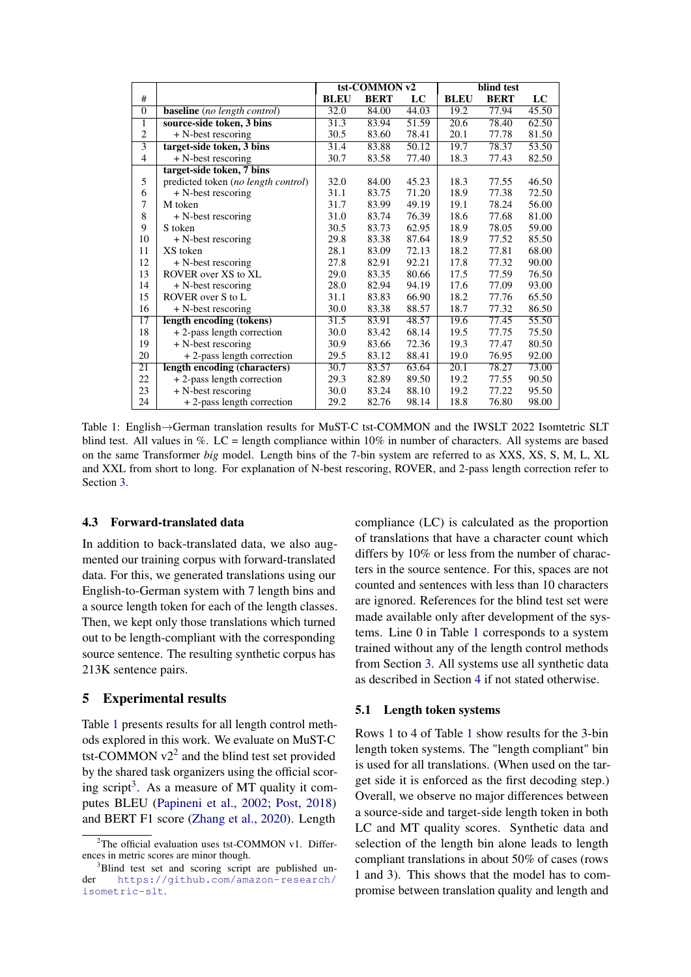<span id="page-4-1"></span>

|                |                                     | tst-COMMON v2 |             |       | blind test  |             |       |
|----------------|-------------------------------------|---------------|-------------|-------|-------------|-------------|-------|
| #              |                                     | <b>BLEU</b>   | <b>BERT</b> | LC    | <b>BLEU</b> | <b>BERT</b> | LC    |
| $\overline{0}$ | <b>baseline</b> (no length control) | 32.0          | 84.00       | 44.03 | 19.2        | 77.94       | 45.50 |
| 1              | source-side token, 3 bins           | 31.3          | 83.94       | 51.59 | 20.6        | 78.40       | 62.50 |
| $\overline{2}$ | $+$ N-best rescoring                | 30.5          | 83.60       | 78.41 | 20.1        | 77.78       | 81.50 |
| $\overline{3}$ | target-side token, 3 bins           | 31.4          | 83.88       | 50.12 | 19.7        | 78.37       | 53.50 |
| $\overline{4}$ | $+$ N-best rescoring                | 30.7          | 83.58       | 77.40 | 18.3        | 77.43       | 82.50 |
|                | target-side token, 7 bins           |               |             |       |             |             |       |
| 5              | predicted token (no length control) | 32.0          | 84.00       | 45.23 | 18.3        | 77.55       | 46.50 |
| 6              | $+$ N-best rescoring                | 31.1          | 83.75       | 71.20 | 18.9        | 77.38       | 72.50 |
| 7              | M token                             | 31.7          | 83.99       | 49.19 | 19.1        | 78.24       | 56.00 |
| 8              | $+$ N-best rescoring                | 31.0          | 83.74       | 76.39 | 18.6        | 77.68       | 81.00 |
| 9              | S token                             | 30.5          | 83.73       | 62.95 | 18.9        | 78.05       | 59.00 |
| 10             | $+$ N-best rescoring                | 29.8          | 83.38       | 87.64 | 18.9        | 77.52       | 85.50 |
| 11             | XS token                            | 28.1          | 83.09       | 72.13 | 18.2        | 77.81       | 68.00 |
| 12             | $+$ N-best rescoring                | 27.8          | 82.91       | 92.21 | 17.8        | 77.32       | 90.00 |
| 13             | ROVER over XS to XL                 | 29.0          | 83.35       | 80.66 | 17.5        | 77.59       | 76.50 |
| 14             | $+$ N-best rescoring                | 28.0          | 82.94       | 94.19 | 17.6        | 77.09       | 93.00 |
| 15             | ROVER over S to L                   | 31.1          | 83.83       | 66.90 | 18.2        | 77.76       | 65.50 |
| 16             | + N-best rescoring                  | 30.0          | 83.38       | 88.57 | 18.7        | 77.32       | 86.50 |
| 17             | length encoding (tokens)            | 31.5          | 83.91       | 48.57 | 19.6        | 77.45       | 55.50 |
| 18             | + 2-pass length correction          | 30.0          | 83.42       | 68.14 | 19.5        | 77.75       | 75.50 |
| 19             | $+$ N-best rescoring                | 30.9          | 83.66       | 72.36 | 19.3        | 77.47       | 80.50 |
| 20             | + 2-pass length correction          | 29.5          | 83.12       | 88.41 | 19.0        | 76.95       | 92.00 |
| 21             | length encoding (characters)        | 30.7          | 83.57       | 63.64 | 20.1        | 78.27       | 73.00 |
| 22             | + 2-pass length correction          | 29.3          | 82.89       | 89.50 | 19.2        | 77.55       | 90.50 |
| 23             | $+$ N-best rescoring                | 30.0          | 83.24       | 88.10 | 19.2        | 77.22       | 95.50 |
| 24             | + 2-pass length correction          | 29.2          | 82.76       | 98.14 | 18.8        | 76.80       | 98.00 |

Table 1: English→German translation results for MuST-C tst-COMMON and the IWSLT 2022 Isomtetric SLT blind test. All values in  $\%$ . LC = length compliance within 10% in number of characters. All systems are based on the same Transformer *big* model. Length bins of the 7-bin system are referred to as XXS, XS, S, M, L, XL and XXL from short to long. For explanation of N-best rescoring, ROVER, and 2-pass length correction refer to Section [3.](#page-1-0)

## 4.3 Forward-translated data

In addition to back-translated data, we also augmented our training corpus with forward-translated data. For this, we generated translations using our English-to-German system with 7 length bins and a source length token for each of the length classes. Then, we kept only those translations which turned out to be length-compliant with the corresponding source sentence. The resulting synthetic corpus has 213K sentence pairs.

# <span id="page-4-0"></span>5 Experimental results

Table [1](#page-4-1) presents results for all length control methods explored in this work. We evaluate on MuST-C tst-COMMON  $v2^2$  $v2^2$  $v2^2$  and the blind test set provided by the shared task organizers using the official scor-ing script<sup>[3](#page-4-3)</sup>. As a measure of MT quality it computes BLEU [\(Papineni et al.,](#page-8-15) [2002;](#page-8-15) [Post,](#page-8-16) [2018\)](#page-8-16) and BERT F1 score [\(Zhang et al.,](#page-9-2) [2020\)](#page-9-2). Length

compliance (LC) is calculated as the proportion of translations that have a character count which differs by 10% or less from the number of characters in the source sentence. For this, spaces are not counted and sentences with less than 10 characters are ignored. References for the blind test set were made available only after development of the systems. Line 0 in Table [1](#page-4-1) corresponds to a system trained without any of the length control methods from Section [3.](#page-1-0) All systems use all synthetic data as described in Section [4](#page-3-0) if not stated otherwise.

# 5.1 Length token systems

Rows 1 to 4 of Table [1](#page-4-1) show results for the 3-bin length token systems. The "length compliant" bin is used for all translations. (When used on the target side it is enforced as the first decoding step.) Overall, we observe no major differences between a source-side and target-side length token in both LC and MT quality scores. Synthetic data and selection of the length bin alone leads to length compliant translations in about 50% of cases (rows 1 and 3). This shows that the model has to compromise between translation quality and length and

<span id="page-4-2"></span> $2$ The official evaluation uses tst-COMMON v1. Differences in metric scores are minor though.

<span id="page-4-3"></span><sup>&</sup>lt;sup>3</sup>Blind test set and scoring script are published under [https://github.com/amazon-research/](https://github.com/amazon-research/isometric-slt) [isometric-slt](https://github.com/amazon-research/isometric-slt).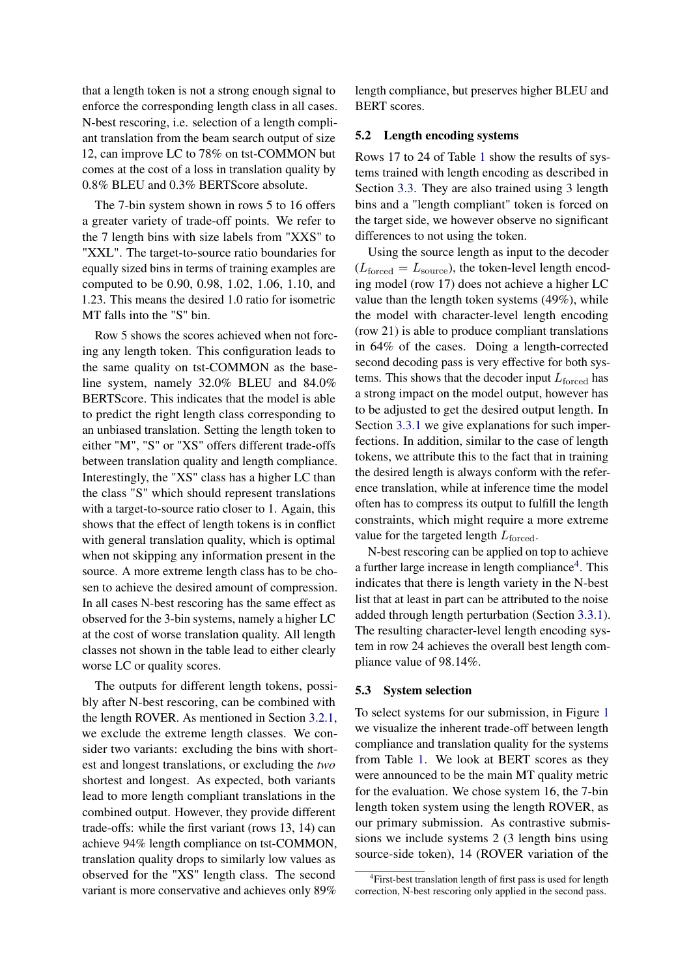that a length token is not a strong enough signal to enforce the corresponding length class in all cases. N-best rescoring, i.e. selection of a length compliant translation from the beam search output of size 12, can improve LC to 78% on tst-COMMON but comes at the cost of a loss in translation quality by 0.8% BLEU and 0.3% BERTScore absolute.

The 7-bin system shown in rows 5 to 16 offers a greater variety of trade-off points. We refer to the 7 length bins with size labels from "XXS" to "XXL". The target-to-source ratio boundaries for equally sized bins in terms of training examples are computed to be 0.90, 0.98, 1.02, 1.06, 1.10, and 1.23. This means the desired 1.0 ratio for isometric MT falls into the "S" bin.

Row 5 shows the scores achieved when not forcing any length token. This configuration leads to the same quality on tst-COMMON as the baseline system, namely 32.0% BLEU and 84.0% BERTScore. This indicates that the model is able to predict the right length class corresponding to an unbiased translation. Setting the length token to either "M", "S" or "XS" offers different trade-offs between translation quality and length compliance. Interestingly, the "XS" class has a higher LC than the class "S" which should represent translations with a target-to-source ratio closer to 1. Again, this shows that the effect of length tokens is in conflict with general translation quality, which is optimal when not skipping any information present in the source. A more extreme length class has to be chosen to achieve the desired amount of compression. In all cases N-best rescoring has the same effect as observed for the 3-bin systems, namely a higher LC at the cost of worse translation quality. All length classes not shown in the table lead to either clearly worse LC or quality scores.

The outputs for different length tokens, possibly after N-best rescoring, can be combined with the length ROVER. As mentioned in Section [3.2.1,](#page-1-1) we exclude the extreme length classes. We consider two variants: excluding the bins with shortest and longest translations, or excluding the *two* shortest and longest. As expected, both variants lead to more length compliant translations in the combined output. However, they provide different trade-offs: while the first variant (rows 13, 14) can achieve 94% length compliance on tst-COMMON, translation quality drops to similarly low values as observed for the "XS" length class. The second variant is more conservative and achieves only 89%

length compliance, but preserves higher BLEU and BERT scores.

# 5.2 Length encoding systems

Rows 17 to 24 of Table [1](#page-4-1) show the results of systems trained with length encoding as described in Section [3.3.](#page-2-0) They are also trained using 3 length bins and a "length compliant" token is forced on the target side, we however observe no significant differences to not using the token.

Using the source length as input to the decoder  $(L_{\text{forced}} = L_{\text{source}})$ , the token-level length encoding model (row 17) does not achieve a higher LC value than the length token systems (49%), while the model with character-level length encoding (row 21) is able to produce compliant translations in 64% of the cases. Doing a length-corrected second decoding pass is very effective for both systems. This shows that the decoder input  $L_{\rm forced}$  has a strong impact on the model output, however has to be adjusted to get the desired output length. In Section [3.3.1](#page-2-1) we give explanations for such imperfections. In addition, similar to the case of length tokens, we attribute this to the fact that in training the desired length is always conform with the reference translation, while at inference time the model often has to compress its output to fulfill the length constraints, which might require a more extreme value for the targeted length  $L_{\text{forced}}$ .

N-best rescoring can be applied on top to achieve a further large increase in length compliance<sup>[4](#page-5-0)</sup>. This indicates that there is length variety in the N-best list that at least in part can be attributed to the noise added through length perturbation (Section [3.3.1\)](#page-2-1). The resulting character-level length encoding system in row 24 achieves the overall best length compliance value of 98.14%.

#### 5.3 System selection

To select systems for our submission, in Figure [1](#page-6-0) we visualize the inherent trade-off between length compliance and translation quality for the systems from Table [1.](#page-4-1) We look at BERT scores as they were announced to be the main MT quality metric for the evaluation. We chose system 16, the 7-bin length token system using the length ROVER, as our primary submission. As contrastive submissions we include systems 2 (3 length bins using source-side token), 14 (ROVER variation of the

<span id="page-5-0"></span><sup>&</sup>lt;sup>4</sup>First-best translation length of first pass is used for length correction, N-best rescoring only applied in the second pass.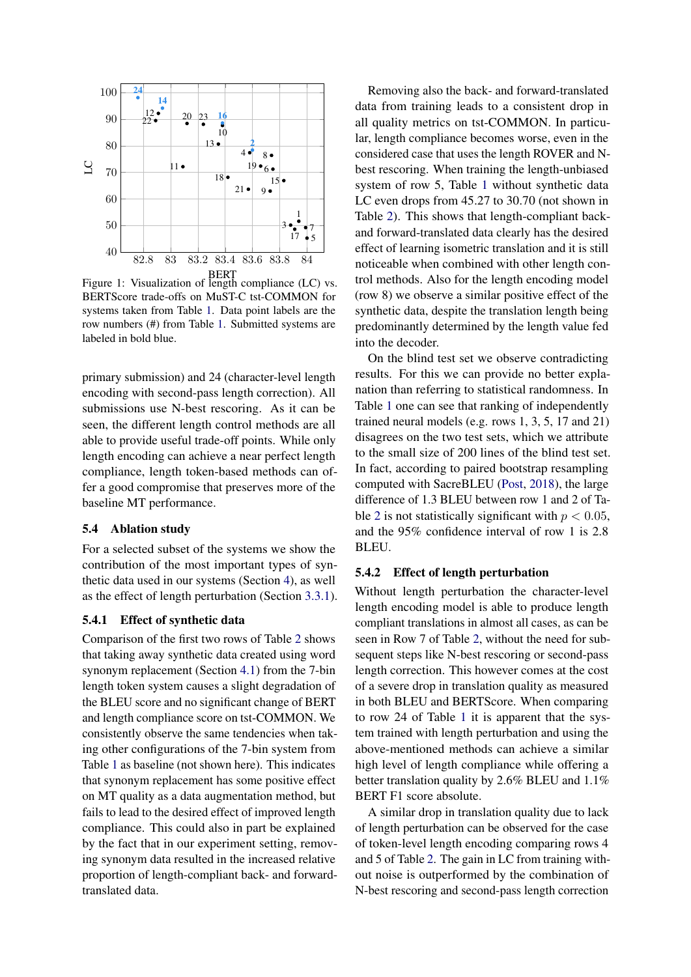<span id="page-6-0"></span>

BERT Figure 1: Visualization of length compliance (LC) vs. BERTScore trade-offs on MuST-C tst-COMMON for systems taken from Table [1.](#page-4-1) Data point labels are the row numbers (#) from Table [1.](#page-4-1) Submitted systems are labeled in bold blue.

primary submission) and 24 (character-level length encoding with second-pass length correction). All submissions use N-best rescoring. As it can be seen, the different length control methods are all able to provide useful trade-off points. While only length encoding can achieve a near perfect length compliance, length token-based methods can offer a good compromise that preserves more of the baseline MT performance.

# 5.4 Ablation study

For a selected subset of the systems we show the contribution of the most important types of synthetic data used in our systems (Section [4\)](#page-3-0), as well as the effect of length perturbation (Section [3.3.1\)](#page-2-1).

# 5.4.1 Effect of synthetic data

Comparison of the first two rows of Table [2](#page-7-6) shows that taking away synthetic data created using word synonym replacement (Section [4.1\)](#page-3-2) from the 7-bin length token system causes a slight degradation of the BLEU score and no significant change of BERT and length compliance score on tst-COMMON. We consistently observe the same tendencies when taking other configurations of the 7-bin system from Table [1](#page-4-1) as baseline (not shown here). This indicates that synonym replacement has some positive effect on MT quality as a data augmentation method, but fails to lead to the desired effect of improved length compliance. This could also in part be explained by the fact that in our experiment setting, removing synonym data resulted in the increased relative proportion of length-compliant back- and forwardtranslated data.

Removing also the back- and forward-translated data from training leads to a consistent drop in all quality metrics on tst-COMMON. In particular, length compliance becomes worse, even in the considered case that uses the length ROVER and Nbest rescoring. When training the length-unbiased system of row 5, Table [1](#page-4-1) without synthetic data LC even drops from 45.27 to 30.70 (not shown in Table [2\)](#page-7-6). This shows that length-compliant backand forward-translated data clearly has the desired effect of learning isometric translation and it is still noticeable when combined with other length control methods. Also for the length encoding model (row 8) we observe a similar positive effect of the synthetic data, despite the translation length being predominantly determined by the length value fed into the decoder.

On the blind test set we observe contradicting results. For this we can provide no better explanation than referring to statistical randomness. In Table [1](#page-4-1) one can see that ranking of independently trained neural models (e.g. rows 1, 3, 5, 17 and 21) disagrees on the two test sets, which we attribute to the small size of 200 lines of the blind test set. In fact, according to paired bootstrap resampling computed with SacreBLEU [\(Post,](#page-8-16) [2018\)](#page-8-16), the large difference of 1.3 BLEU between row 1 and 2 of Ta-ble [2](#page-7-6) is not statistically significant with  $p < 0.05$ . and the 95% confidence interval of row 1 is 2.8 BLEU.

#### 5.4.2 Effect of length perturbation

Without length perturbation the character-level length encoding model is able to produce length compliant translations in almost all cases, as can be seen in Row 7 of Table [2,](#page-7-6) without the need for subsequent steps like N-best rescoring or second-pass length correction. This however comes at the cost of a severe drop in translation quality as measured in both BLEU and BERTScore. When comparing to row 24 of Table [1](#page-4-1) it is apparent that the system trained with length perturbation and using the above-mentioned methods can achieve a similar high level of length compliance while offering a better translation quality by 2.6% BLEU and 1.1% BERT F1 score absolute.

A similar drop in translation quality due to lack of length perturbation can be observed for the case of token-level length encoding comparing rows 4 and 5 of Table [2.](#page-7-6) The gain in LC from training without noise is outperformed by the combination of N-best rescoring and second-pass length correction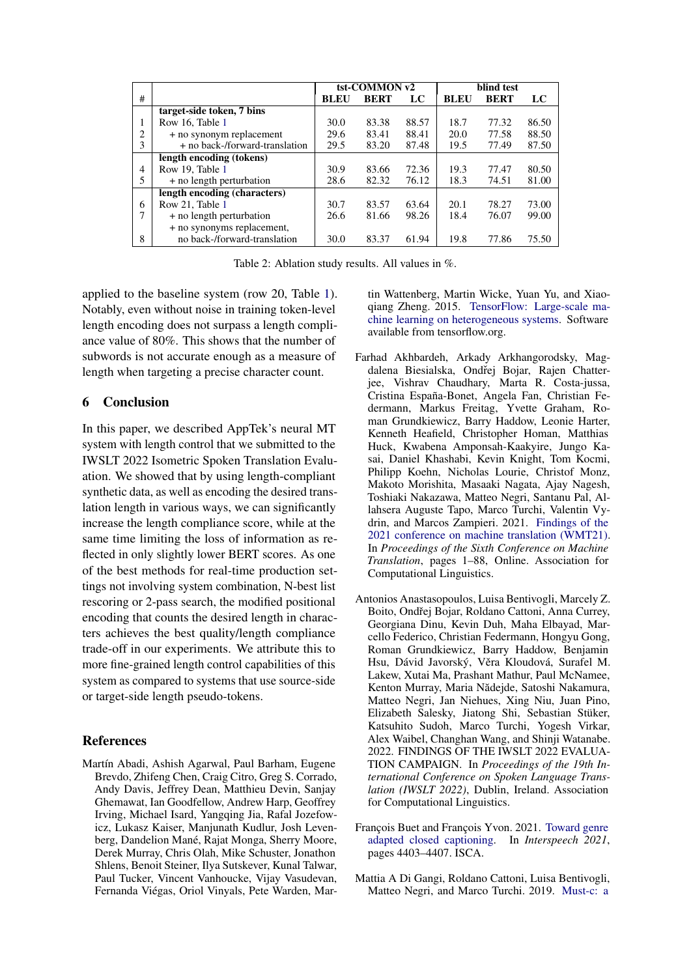<span id="page-7-6"></span>

|                |                                | tst-COMMON v2 |             |       | blind test  |             |       |  |
|----------------|--------------------------------|---------------|-------------|-------|-------------|-------------|-------|--|
| #              |                                | <b>BLEU</b>   | <b>BERT</b> | LC    | <b>BLEU</b> | <b>BERT</b> | LC    |  |
|                | target-side token, 7 bins      |               |             |       |             |             |       |  |
| 1              | Row 16. Table 1                | 30.0          | 83.38       | 88.57 | 18.7        | 77.32       | 86.50 |  |
| $\overline{c}$ | + no synonym replacement       | 29.6          | 83.41       | 88.41 | 20.0        | 77.58       | 88.50 |  |
| 3              | + no back-/forward-translation | 29.5          | 83.20       | 87.48 | 19.5        | 77.49       | 87.50 |  |
|                | length encoding (tokens)       |               |             |       |             |             |       |  |
| 4              | Row 19. Table 1                | 30.9          | 83.66       | 72.36 | 19.3        | 77.47       | 80.50 |  |
| 5              | + no length perturbation       | 28.6          | 82.32       | 76.12 | 18.3        | 74.51       | 81.00 |  |
|                | length encoding (characters)   |               |             |       |             |             |       |  |
| 6              | Row 21, Table 1                | 30.7          | 83.57       | 63.64 | 20.1        | 78.27       | 73.00 |  |
|                | + no length perturbation       | 26.6          | 81.66       | 98.26 | 18.4        | 76.07       | 99.00 |  |
|                | + no synonyms replacement,     |               |             |       |             |             |       |  |
| 8              | no back-/forward-translation   | 30.0          | 83.37       | 61.94 | 19.8        | 77.86       | 75.50 |  |

Table 2: Ablation study results. All values in %.

applied to the baseline system (row 20, Table [1\)](#page-4-1). Notably, even without noise in training token-level length encoding does not surpass a length compliance value of 80%. This shows that the number of subwords is not accurate enough as a measure of length when targeting a precise character count.

# <span id="page-7-1"></span>6 Conclusion

In this paper, we described AppTek's neural MT system with length control that we submitted to the IWSLT 2022 Isometric Spoken Translation Evaluation. We showed that by using length-compliant synthetic data, as well as encoding the desired translation length in various ways, we can significantly increase the length compliance score, while at the same time limiting the loss of information as reflected in only slightly lower BERT scores. As one of the best methods for real-time production settings not involving system combination, N-best list rescoring or 2-pass search, the modified positional encoding that counts the desired length in characters achieves the best quality/length compliance trade-off in our experiments. We attribute this to more fine-grained length control capabilities of this system as compared to systems that use source-side or target-side length pseudo-tokens.

# References

<span id="page-7-3"></span>Martín Abadi, Ashish Agarwal, Paul Barham, Eugene Brevdo, Zhifeng Chen, Craig Citro, Greg S. Corrado, Andy Davis, Jeffrey Dean, Matthieu Devin, Sanjay Ghemawat, Ian Goodfellow, Andrew Harp, Geoffrey Irving, Michael Isard, Yangqing Jia, Rafal Jozefowicz, Lukasz Kaiser, Manjunath Kudlur, Josh Levenberg, Dandelion Mané, Rajat Monga, Sherry Moore, Derek Murray, Chris Olah, Mike Schuster, Jonathon Shlens, Benoit Steiner, Ilya Sutskever, Kunal Talwar, Paul Tucker, Vincent Vanhoucke, Vijay Vasudevan, Fernanda Viégas, Oriol Vinyals, Pete Warden, Martin Wattenberg, Martin Wicke, Yuan Yu, and Xiaoqiang Zheng. 2015. [TensorFlow: Large-scale ma](https://www.tensorflow.org/)[chine learning on heterogeneous systems.](https://www.tensorflow.org/) Software available from tensorflow.org.

- <span id="page-7-4"></span>Farhad Akhbardeh, Arkady Arkhangorodsky, Magdalena Biesialska, Ondřej Bojar, Rajen Chatterjee, Vishrav Chaudhary, Marta R. Costa-jussa, Cristina España-Bonet, Angela Fan, Christian Federmann, Markus Freitag, Yvette Graham, Roman Grundkiewicz, Barry Haddow, Leonie Harter, Kenneth Heafield, Christopher Homan, Matthias Huck, Kwabena Amponsah-Kaakyire, Jungo Kasai, Daniel Khashabi, Kevin Knight, Tom Kocmi, Philipp Koehn, Nicholas Lourie, Christof Monz, Makoto Morishita, Masaaki Nagata, Ajay Nagesh, Toshiaki Nakazawa, Matteo Negri, Santanu Pal, Allahsera Auguste Tapo, Marco Turchi, Valentin Vydrin, and Marcos Zampieri. 2021. [Findings of the](https://aclanthology.org/2021.wmt-1.1) [2021 conference on machine translation \(WMT21\).](https://aclanthology.org/2021.wmt-1.1) In *Proceedings of the Sixth Conference on Machine Translation*, pages 1–88, Online. Association for Computational Linguistics.
- <span id="page-7-0"></span>Antonios Anastasopoulos, Luisa Bentivogli, Marcely Z. Boito, Ondřej Bojar, Roldano Cattoni, Anna Currey, Georgiana Dinu, Kevin Duh, Maha Elbayad, Marcello Federico, Christian Federmann, Hongyu Gong, Roman Grundkiewicz, Barry Haddow, Benjamin Hsu, Dávid Javorský, Věra Kloudová, Surafel M. Lakew, Xutai Ma, Prashant Mathur, Paul McNamee, Kenton Murray, Maria Nădejde, Satoshi Nakamura, Matteo Negri, Jan Niehues, Xing Niu, Juan Pino, Elizabeth Salesky, Jiatong Shi, Sebastian Stüker, Katsuhito Sudoh, Marco Turchi, Yogesh Virkar, Alex Waibel, Changhan Wang, and Shinji Watanabe. 2022. FINDINGS OF THE IWSLT 2022 EVALUA-TION CAMPAIGN. In *Proceedings of the 19th International Conference on Spoken Language Translation (IWSLT 2022)*, Dublin, Ireland. Association for Computational Linguistics.
- <span id="page-7-5"></span>François Buet and François Yvon. 2021. [Toward genre](https://www.isca-speech.org/archive/pdfs/interspeech_2021/buet21_interspeech.pdf) [adapted closed captioning.](https://www.isca-speech.org/archive/pdfs/interspeech_2021/buet21_interspeech.pdf) In *Interspeech 2021*, pages 4403–4407. ISCA.
- <span id="page-7-2"></span>Mattia A Di Gangi, Roldano Cattoni, Luisa Bentivogli, Matteo Negri, and Marco Turchi. 2019. [Must-c: a](https://aclanthology.org/N19-1202/)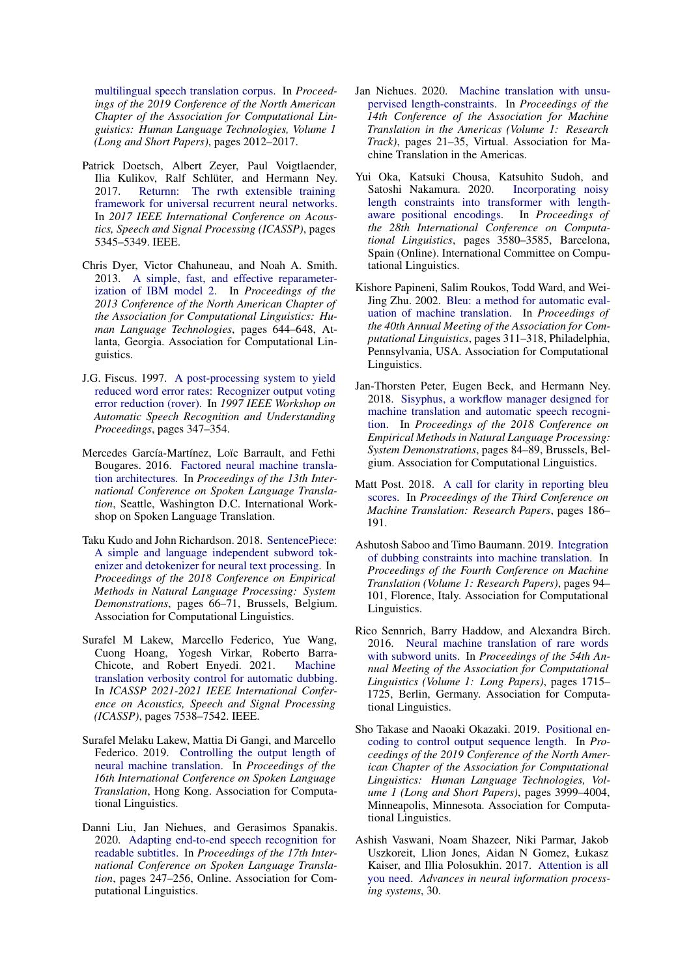[multilingual speech translation corpus.](https://aclanthology.org/N19-1202/) In *Proceedings of the 2019 Conference of the North American Chapter of the Association for Computational Linguistics: Human Language Technologies, Volume 1 (Long and Short Papers)*, pages 2012–2017.

- <span id="page-8-3"></span>Patrick Doetsch, Albert Zeyer, Paul Voigtlaender, Ilia Kulikov, Ralf Schlüter, and Hermann Ney. 2017. [Returnn: The rwth extensible training](http://web-info8.informatik.rwth-aachen.de/media/papers/0005345.pdf) [framework for universal recurrent neural networks.](http://web-info8.informatik.rwth-aachen.de/media/papers/0005345.pdf) In *2017 IEEE International Conference on Acoustics, Speech and Signal Processing (ICASSP)*, pages 5345–5349. IEEE.
- <span id="page-8-14"></span>Chris Dyer, Victor Chahuneau, and Noah A. Smith. 2013. [A simple, fast, and effective reparameter](https://aclanthology.org/N13-1073)[ization of IBM model 2.](https://aclanthology.org/N13-1073) In *Proceedings of the 2013 Conference of the North American Chapter of the Association for Computational Linguistics: Human Language Technologies*, pages 644–648, Atlanta, Georgia. Association for Computational Linguistics.
- <span id="page-8-8"></span>J.G. Fiscus. 1997. [A post-processing system to yield](https://doi.org/10.1109/ASRU.1997.659110) [reduced word error rates: Recognizer output voting](https://doi.org/10.1109/ASRU.1997.659110) [error reduction \(rover\).](https://doi.org/10.1109/ASRU.1997.659110) In *1997 IEEE Workshop on Automatic Speech Recognition and Understanding Proceedings*, pages 347–354.
- <span id="page-8-2"></span>Mercedes García-Martínez, Loïc Barrault, and Fethi Bougares. 2016. [Factored neural machine transla](https://aclanthology.org/2016.iwslt-1.3)[tion architectures.](https://aclanthology.org/2016.iwslt-1.3) In *Proceedings of the 13th International Conference on Spoken Language Translation*, Seattle, Washington D.C. International Workshop on Spoken Language Translation.
- <span id="page-8-0"></span>Taku Kudo and John Richardson. 2018. [SentencePiece:](https://doi.org/10.18653/v1/D18-2012) [A simple and language independent subword tok](https://doi.org/10.18653/v1/D18-2012)[enizer and detokenizer for neural text processing.](https://doi.org/10.18653/v1/D18-2012) In *Proceedings of the 2018 Conference on Empirical Methods in Natural Language Processing: System Demonstrations*, pages 66–71, Brussels, Belgium. Association for Computational Linguistics.
- <span id="page-8-6"></span>Surafel M Lakew, Marcello Federico, Yue Wang, Cuong Hoang, Yogesh Virkar, Roberto Barra-Chicote, and Robert Enyedi. 2021. [Machine](https://arxiv.org/pdf/2110.03847.pdf) [translation verbosity control for automatic dubbing.](https://arxiv.org/pdf/2110.03847.pdf) In *ICASSP 2021-2021 IEEE International Conference on Acoustics, Speech and Signal Processing (ICASSP)*, pages 7538–7542. IEEE.
- <span id="page-8-7"></span>Surafel Melaku Lakew, Mattia Di Gangi, and Marcello Federico. 2019. [Controlling the output length of](https://aclanthology.org/2019.iwslt-1.31) [neural machine translation.](https://aclanthology.org/2019.iwslt-1.31) In *Proceedings of the 16th International Conference on Spoken Language Translation*, Hong Kong. Association for Computational Linguistics.
- <span id="page-8-11"></span>Danni Liu, Jan Niehues, and Gerasimos Spanakis. 2020. [Adapting end-to-end speech recognition for](https://doi.org/10.18653/v1/2020.iwslt-1.30) [readable subtitles.](https://doi.org/10.18653/v1/2020.iwslt-1.30) In *Proceedings of the 17th International Conference on Spoken Language Translation*, pages 247–256, Online. Association for Computational Linguistics.
- <span id="page-8-12"></span>Jan Niehues. 2020. [Machine translation with unsu](https://aclanthology.org/2020.amta-research.3)[pervised length-constraints.](https://aclanthology.org/2020.amta-research.3) In *Proceedings of the 14th Conference of the Association for Machine Translation in the Americas (Volume 1: Research Track)*, pages 21–35, Virtual. Association for Machine Translation in the Americas.
- <span id="page-8-13"></span>Yui Oka, Katsuki Chousa, Katsuhito Sudoh, and Satoshi Nakamura. 2020. [length constraints into transformer with length](https://doi.org/10.18653/v1/2020.coling-main.319)[aware positional encodings.](https://doi.org/10.18653/v1/2020.coling-main.319) In *Proceedings of the 28th International Conference on Computational Linguistics*, pages 3580–3585, Barcelona, Spain (Online). International Committee on Computational Linguistics.
- <span id="page-8-15"></span>Kishore Papineni, Salim Roukos, Todd Ward, and Wei-Jing Zhu. 2002. [Bleu: a method for automatic eval](https://doi.org/10.3115/1073083.1073135)[uation of machine translation.](https://doi.org/10.3115/1073083.1073135) In *Proceedings of the 40th Annual Meeting of the Association for Computational Linguistics*, pages 311–318, Philadelphia, Pennsylvania, USA. Association for Computational Linguistics.
- <span id="page-8-4"></span>Jan-Thorsten Peter, Eugen Beck, and Hermann Ney. 2018. [Sisyphus, a workflow manager designed for](https://doi.org/10.18653/v1/D18-2015) [machine translation and automatic speech recogni](https://doi.org/10.18653/v1/D18-2015)[tion.](https://doi.org/10.18653/v1/D18-2015) In *Proceedings of the 2018 Conference on Empirical Methods in Natural Language Processing: System Demonstrations*, pages 84–89, Brussels, Belgium. Association for Computational Linguistics.
- <span id="page-8-16"></span>Matt Post. 2018. [A call for clarity in reporting bleu](https://www.statmt.org/wmt18/pdf/WMT019.pdf) [scores.](https://www.statmt.org/wmt18/pdf/WMT019.pdf) In *Proceedings of the Third Conference on Machine Translation: Research Papers*, pages 186– 191.
- <span id="page-8-5"></span>Ashutosh Saboo and Timo Baumann. 2019. [Integration](https://doi.org/10.18653/v1/W19-5210) [of dubbing constraints into machine translation.](https://doi.org/10.18653/v1/W19-5210) In *Proceedings of the Fourth Conference on Machine Translation (Volume 1: Research Papers)*, pages 94– 101, Florence, Italy. Association for Computational Linguistics.
- <span id="page-8-10"></span>Rico Sennrich, Barry Haddow, and Alexandra Birch. 2016. [Neural machine translation of rare words](https://doi.org/10.18653/v1/P16-1162) [with subword units.](https://doi.org/10.18653/v1/P16-1162) In *Proceedings of the 54th Annual Meeting of the Association for Computational Linguistics (Volume 1: Long Papers)*, pages 1715– 1725, Berlin, Germany. Association for Computational Linguistics.
- <span id="page-8-9"></span>Sho Takase and Naoaki Okazaki. 2019. [Positional en](https://doi.org/10.18653/v1/N19-1401)[coding to control output sequence length.](https://doi.org/10.18653/v1/N19-1401) In *Proceedings of the 2019 Conference of the North American Chapter of the Association for Computational Linguistics: Human Language Technologies, Volume 1 (Long and Short Papers)*, pages 3999–4004, Minneapolis, Minnesota. Association for Computational Linguistics.
- <span id="page-8-1"></span>Ashish Vaswani, Noam Shazeer, Niki Parmar, Jakob Uszkoreit, Llion Jones, Aidan N Gomez, Łukasz Kaiser, and Illia Polosukhin. 2017. [Attention is all](https://proceedings.neurips.cc/paper/2017/file/3f5ee243547dee91fbd053c1c4a845aa-Paper.pdf) [you need.](https://proceedings.neurips.cc/paper/2017/file/3f5ee243547dee91fbd053c1c4a845aa-Paper.pdf) *Advances in neural information processing systems*, 30.